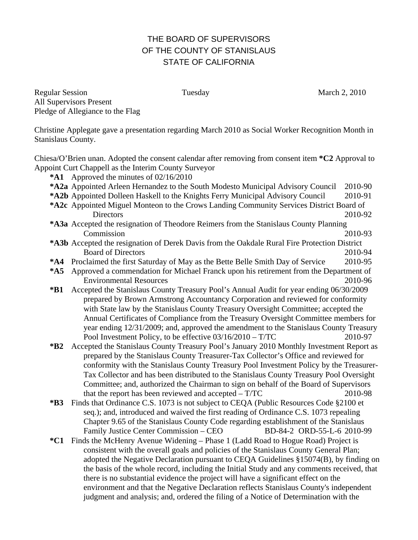## THE BOARD OF SUPERVISORS OF THE COUNTY OF STANISLAUS STATE OF CALIFORNIA

Regular Session Tuesday Tuesday March 2, 2010 All Supervisors Present Pledge of Allegiance to the Flag

Christine Applegate gave a presentation regarding March 2010 as Social Worker Recognition Month in Stanislaus County.

Chiesa/O'Brien unan. Adopted the consent calendar after removing from consent item **\*C2** Approval to Appoint Curt Chappell as the Interim County Surveyor

- **\*A1** Approved the minutes of 02/16/2010
- **\*A2 a** Appointed Arleen Hernandez to the South Modesto Municipal Advisory Council 2010-90
- \*A2b Appointed Dolleen Haskell to the Knights Ferry Municipal Advisory Council 2010-91
- \*A2c Appointed Miguel Monteon to the Crows Landing Community Services District Board of Directors 2010-92
- **\*A3a** Accepted the resignation of Theodore Reimers from the Stanislaus County Planning Commission 2010-93
- **\*A3b** Accepted the resignation of Derek Davis from the Oakdale Rural Fire Protection District Board of Directors 2010-94
- **\*A4** Proclaimed the first Saturday of May as the Bette Belle Smith Day of Service 2010-95
- **\*A5** Approved a commendation for Michael Franck upon his retirement from the Department of Environmental Resources 2010-96
- **\*B1** Accepted the Stanislaus County Treasury Pool's Annual Audit for year ending 06/30/2009 prepared by Brown Armstrong Accountancy Corporation and reviewed for conformity with State law by the Stanislaus County Treasury Oversight Committee; accepted the Annual Certificates of Compliance from the Treasury Oversight Committee members for year ending 12/31/2009; and, approved the amendment to the Stanislaus County Treasury Pool Investment Policy, to be effective  $03/16/2010 - T/TC$  2010-97
- **\*B2** Accepted the Stanislaus County Treasury Pool's January 2010 Monthly Investment Report as prepared by the Stanislaus County Treasurer-Tax Collector's Office and reviewed for conformity with the Stanislaus County Treasury Pool Investment Policy by the Treasurer-Tax Collector and has been distributed to the Stanislaus County Treasury Pool Oversight Committee; and, authorized the Chairman to sign on behalf of the Board of Supervisors that the report has been reviewed and accepted – T/TC 2010-98
- **\*B3** Finds that Ordinance C.S. 1073 is not subject to CEQA (Public Resources Code §2100 et seq.); and, introduced and waived the first reading of Ordinance C.S. 1073 repealing Chapter 9.65 of the Stanislaus County Code regarding establishment of the Stanislaus Family Justice Center Commission – CEO BD-84-2 ORD-55-L-6 2010-99
- **\*C1** Finds the McHenry Avenue Widening Phase 1 (Ladd Road to Hogue Road) Project is consistent with the overall goals and policies of the Stanislaus County General Plan; adopted the Negative Declaration pursuant to CEQA Guidelines §15074(B), by finding on the basis of the whole record, including the Initial Study and any comments received, that there is no substantial evidence the project will have a significant effect on the environment and that the Negative Declaration reflects Stanislaus County's independent judgment and analysis; and, ordered the filing of a Notice of Determination with the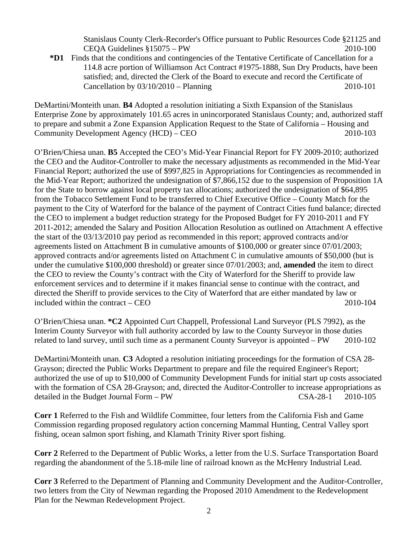Stanislaus County Clerk-Recorder's Office pursuant to Public Resources Code §21125 and CEOA Guidelines  $$15075 - PW$  2010-100

**\*D1** Finds that the conditions and contingencies of the Tentative Certificate of Cancellation for a 114.8 acre portion of Williamson Act Contract #1975-1888, Sun Dry Products, have been satisfied; and, directed the Clerk of the Board to execute and record the Certificate of Cancellation by 03/10/2010 – Planning 2010-101

DeMartini/Monteith unan. **B4** Adopted a resolution initiating a Sixth Expansion of the Stanislaus Enterprise Zone by approximately 101.65 acres in unincorporated Stanislaus County; and, authorized staff to prepare and submit a Zone Expansion Application Request to the State of California – Housing and Community Development Agency (HCD) – CEO 2010-103

O'Brien/Chiesa unan. **B5** Accepted the CEO's Mid-Year Financial Report for FY 2009-2010; authorized the CEO and the Auditor-Controller to make the necessary adjustments as recommended in the Mid-Year Financial Report; authorized the use of \$997,825 in Appropriations for Contingencies as recommended in the Mid-Year Report; authorized the undesignation of \$7,866,152 due to the suspension of Proposition 1A for the State to borrow against local property tax allocations; authorized the undesignation of \$64,895 from the Tobacco Settlement Fund to be transferred to Chief Executive Office – County Match for the payment to the City of Waterford for the balance of the payment of Contract Cities fund balance; directed the CEO to implement a budget reduction strategy for the Proposed Budget for FY 2010-2011 and FY 2011-2012; amended the Salary and Position Allocation Resolution as outlined on Attachment A effective the start of the 03/13/2010 pay period as recommended in this report; approved contracts and/or agreements listed on Attachment B in cumulative amounts of \$100,000 or greater since 07/01/2003; approved contracts and/or agreements listed on Attachment C in cumulative amounts of \$50,000 (but is under the cumulative \$100,000 threshold) or greater since 07/01/2003; and, **amended** the item to direct the CEO to review the County's contract with the City of Waterford for the Sheriff to provide law enforcement services and to determine if it makes financial sense to continue with the contract, and directed the Sheriff to provide services to the City of Waterford that are either mandated by law or included within the contract – CEO 2010-104

O'Brien/Chiesa unan. **\*C2** Appointed Curt Chappell, Professional Land Surveyor (PLS 7992), as the Interim County Surveyor with full authority accorded by law to the County Surveyor in those duties related to land survey, until such time as a permanent County Surveyor is appointed – PW 2010-102

DeMartini/Monteith unan. **C3** Adopted a resolution initiating proceedings for the formation of CSA 28- Grayson; directed the Public Works Department to prepare and file the required Engineer's Report; authorized the use of up to \$10,000 of Community Development Funds for initial start up costs associated with the formation of CSA 28-Grayson; and, directed the Auditor-Controller to increase appropriations as detailed in the Budget Journal Form – PW CSA-28-1 2010-105

**Corr 1** Referred to the Fish and Wildlife Committee, four letters from the California Fish and Game Commission regarding proposed regulatory action concerning Mammal Hunting, Central Valley sport fishing, ocean salmon sport fishing, and Klamath Trinity River sport fishing.

**Corr 2** Referred to the Department of Public Works, a letter from the U.S. Surface Transportation Board regarding the abandonment of the 5.18-mile line of railroad known as the McHenry Industrial Lead.

**Corr 3** Referred to the Department of Planning and Community Development and the Auditor-Controller, two letters from the City of Newman regarding the Proposed 2010 Amendment to the Redevelopment Plan for the Newman Redevelopment Project.